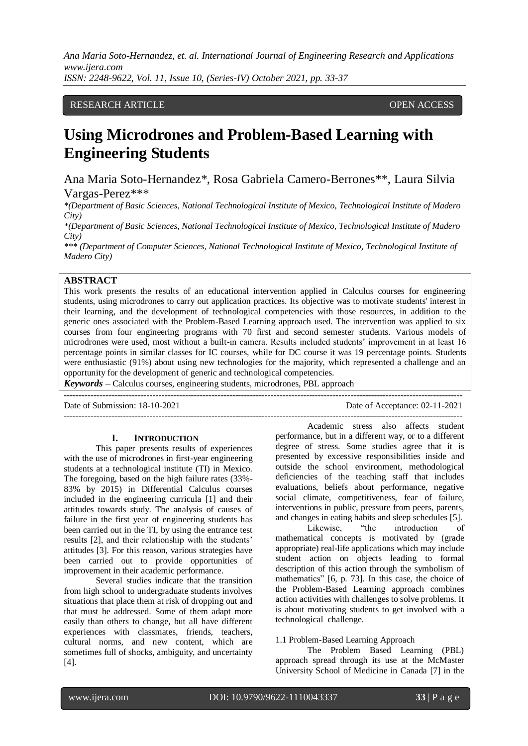*Ana Maria Soto-Hernandez, et. al. International Journal of Engineering Research and Applications www.ijera.com ISSN: 2248-9622, Vol. 11, Issue 10, (Series-IV) October 2021, pp. 33-37*

# RESEARCH ARTICLE **OPEN ACCESS**

# **Using Microdrones and Problem-Based Learning with Engineering Students**

Ana Maria Soto-Hernandez\*, Rosa Gabriela Camero-Berrones\*\*, Laura Silvia Vargas-Perez\*\*\*

*\*(Department of Basic Sciences, National Technological Institute of Mexico, Technological Institute of Madero City)*

*\*(Department of Basic Sciences, National Technological Institute of Mexico, Technological Institute of Madero City)*

*\*\*\* (Department of Computer Sciences, National Technological Institute of Mexico, Technological Institute of Madero City)*

# **ABSTRACT**

This work presents the results of an educational intervention applied in Calculus courses for engineering students, using microdrones to carry out application practices. Its objective was to motivate students' interest in their learning, and the development of technological competencies with those resources, in addition to the generic ones associated with the Problem-Based Learning approach used. The intervention was applied to six courses from four engineering programs with 70 first and second semester students. Various models of microdrones were used, most without a built-in camera. Results included students' improvement in at least 16 percentage points in similar classes for IC courses, while for DC course it was 19 percentage points. Students were enthusiastic (91%) about using new technologies for the majority, which represented a challenge and an opportunity for the development of generic and technological competencies.

---------------------------------------------------------------------------------------------------------------------------------------

*Keywords* **–** Calculus courses, engineering students, microdrones, PBL approach

Date of Submission: 18-10-2021 Date of Acceptance: 02-11-2021 ---------------------------------------------------------------------------------------------------------------------------------------

#### **I. INTRODUCTION**

This paper presents results of experiences with the use of microdrones in first-year engineering students at a technological institute (TI) in Mexico. The foregoing, based on the high failure rates (33%- 83% by 2015) in Differential Calculus courses included in the engineering curricula [1] and their attitudes towards study. The analysis of causes of failure in the first year of engineering students has been carried out in the TI, by using the entrance test results [2], and their relationship with the students' attitudes [3]. For this reason, various strategies have been carried out to provide opportunities of improvement in their academic performance.

Several studies indicate that the transition from high school to undergraduate students involves situations that place them at risk of dropping out and that must be addressed. Some of them adapt more easily than others to change, but all have different experiences with classmates, friends, teachers, cultural norms, and new content, which are sometimes full of shocks, ambiguity, and uncertainty [4].

Academic stress also affects student performance, but in a different way, or to a different degree of stress. Some studies agree that it is presented by excessive responsibilities inside and outside the school environment, methodological deficiencies of the teaching staff that includes evaluations, beliefs about performance, negative social climate, competitiveness, fear of failure, interventions in public, pressure from peers, parents, and changes in eating habits and sleep schedules [5].

Likewise, "the introduction of mathematical concepts is motivated by (grade appropriate) real-life applications which may include student action on objects leading to formal description of this action through the symbolism of mathematics" [6, p. 73]. In this case, the choice of the Problem-Based Learning approach combines action activities with challenges to solve problems. It is about motivating students to get involved with a technological challenge.

#### 1.1 Problem-Based Learning Approach

The Problem Based Learning (PBL) approach spread through its use at the McMaster University School of Medicine in Canada [7] in the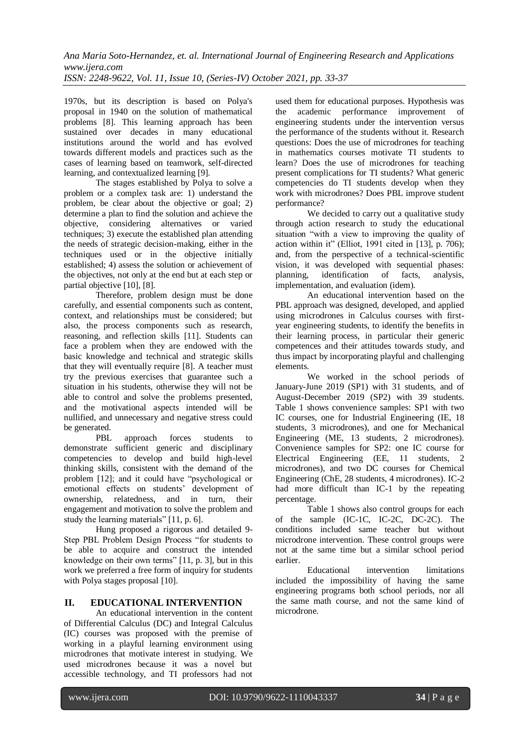1970s, but its description is based on Polya's proposal in 1940 on the solution of mathematical problems [8]. This learning approach has been sustained over decades in many educational institutions around the world and has evolved towards different models and practices such as the cases of learning based on teamwork, self-directed learning, and contextualized learning [9].

The stages established by Polya to solve a problem or a complex task are: 1) understand the problem, be clear about the objective or goal; 2) determine a plan to find the solution and achieve the objective, considering alternatives or varied techniques; 3) execute the established plan attending the needs of strategic decision-making, either in the techniques used or in the objective initially established; 4) assess the solution or achievement of the objectives, not only at the end but at each step or partial objective [10], [8].

Therefore, problem design must be done carefully, and essential components such as content, context, and relationships must be considered; but also, the process components such as research, reasoning, and reflection skills [11]. Students can face a problem when they are endowed with the basic knowledge and technical and strategic skills that they will eventually require [8]. A teacher must try the previous exercises that guarantee such a situation in his students, otherwise they will not be able to control and solve the problems presented, and the motivational aspects intended will be nullified, and unnecessary and negative stress could be generated.

PBL approach forces students to demonstrate sufficient generic and disciplinary competencies to develop and build high-level thinking skills, consistent with the demand of the problem [12]; and it could have "psychological or emotional effects on students' development of ownership, relatedness, and in turn, their engagement and motivation to solve the problem and study the learning materials" [11, p. 6].

Hung proposed a rigorous and detailed 9- Step PBL Problem Design Process "for students to be able to acquire and construct the intended knowledge on their own terms" [11, p. 3], but in this work we preferred a free form of inquiry for students with Polya stages proposal [10].

# **II. EDUCATIONAL INTERVENTION**

An educational intervention in the content of Differential Calculus (DC) and Integral Calculus (IC) courses was proposed with the premise of working in a playful learning environment using microdrones that motivate interest in studying. We used microdrones because it was a novel but accessible technology, and TI professors had not

used them for educational purposes. Hypothesis was the academic performance improvement of engineering students under the intervention versus the performance of the students without it. Research questions: Does the use of microdrones for teaching in mathematics courses motivate TI students to learn? Does the use of microdrones for teaching present complications for TI students? What generic competencies do TI students develop when they work with microdrones? Does PBL improve student performance?

We decided to carry out a qualitative study through action research to study the educational situation "with a view to improving the quality of action within it" (Elliot, 1991 cited in [13], p. 706); and, from the perspective of a technical-scientific vision, it was developed with sequential phases: planning, identification of facts, analysis, implementation, and evaluation (idem).

An educational intervention based on the PBL approach was designed, developed, and applied using microdrones in Calculus courses with firstyear engineering students, to identify the benefits in their learning process, in particular their generic competences and their attitudes towards study, and thus impact by incorporating playful and challenging elements.

We worked in the school periods of January-June 2019 (SP1) with 31 students, and of August-December 2019 (SP2) with 39 students. Table 1 shows convenience samples: SP1 with two IC courses, one for Industrial Engineering (IE, 18 students, 3 microdrones), and one for Mechanical Engineering (ME, 13 students, 2 microdrones). Convenience samples for SP2: one IC course for Electrical Engineering (EE, 11 students, 2 microdrones), and two DC courses for Chemical Engineering (ChE, 28 students, 4 microdrones). IC-2 had more difficult than IC-1 by the repeating percentage.

Table 1 shows also control groups for each of the sample (IC-1C, IC-2C, DC-2C). The conditions included same teacher but without microdrone intervention. These control groups were not at the same time but a similar school period earlier.

Educational intervention limitations included the impossibility of having the same engineering programs both school periods, nor all the same math course, and not the same kind of microdrone.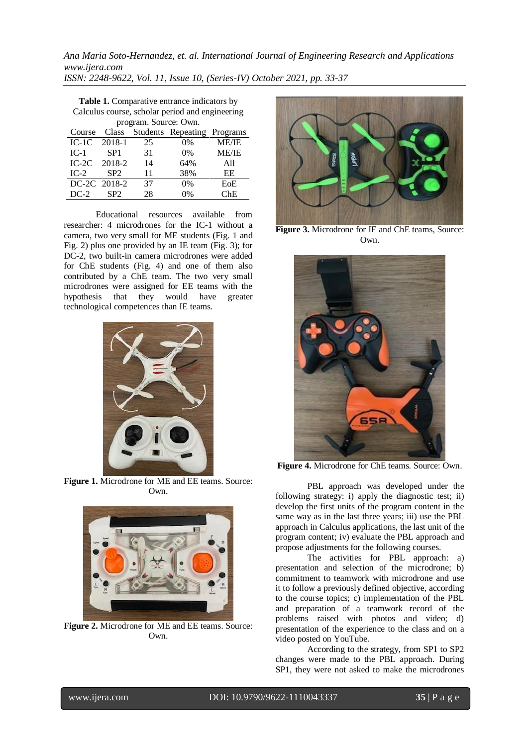*Ana Maria Soto-Hernandez, et. al. International Journal of Engineering Research and Applications www.ijera.com ISSN: 2248-9622, Vol. 11, Issue 10, (Series-IV) October 2021, pp. 33-37*

**Table 1.** Comparative entrance indicators by Calculus course, scholar period and engineering program. Source: Own.

| Course  |                 |    | Class Students Repeating Programs |              |
|---------|-----------------|----|-----------------------------------|--------------|
| $IC-1C$ | 2018-1          | 25 | $0\%$                             | <b>ME/IE</b> |
| $IC-1$  | SP <sub>1</sub> | 31 | $0\%$                             | <b>ME/IE</b> |
| $IC-2C$ | 2018-2          | 14 | 64%                               | All          |
| $IC-2$  | SP <sub>2</sub> | 11 | 38%                               | EE           |
|         | DC-2C 2018-2    | 37 | 0%                                | EoE          |
| $DC-2$  | SP <sub>2</sub> | 28 | 0%                                | ChE          |

Educational resources available from researcher: 4 microdrones for the IC-1 without a camera, two very small for ME students (Fig. 1 and Fig. 2) plus one provided by an IE team (Fig. 3); for DC-2, two built-in camera microdrones were added for ChE students (Fig. 4) and one of them also contributed by a ChE team. The two very small microdrones were assigned for EE teams with the hypothesis that they would have greater technological competences than IE teams.



**Figure 1.** Microdrone for ME and EE teams. Source: Own.



**Figure 2.** Microdrone for ME and EE teams. Source: Own.



Figure 3. Microdrone for IE and ChE teams, Source: Own.



**Figure 4.** Microdrone for ChE teams. Source: Own.

PBL approach was developed under the following strategy: i) apply the diagnostic test; ii) develop the first units of the program content in the same way as in the last three years; iii) use the PBL approach in Calculus applications, the last unit of the program content; iv) evaluate the PBL approach and propose adjustments for the following courses.

The activities for PBL approach: a) presentation and selection of the microdrone; b) commitment to teamwork with microdrone and use it to follow a previously defined objective, according to the course topics; c) implementation of the PBL and preparation of a teamwork record of the problems raised with photos and video; d) presentation of the experience to the class and on a video posted on YouTube.

According to the strategy, from SP1 to SP2 changes were made to the PBL approach. During SP1, they were not asked to make the microdrones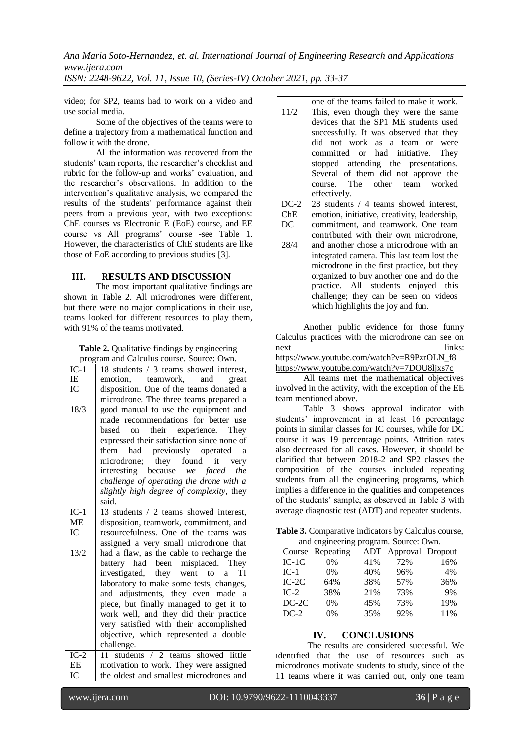*Ana Maria Soto-Hernandez, et. al. International Journal of Engineering Research and Applications www.ijera.com*

*ISSN: 2248-9622, Vol. 11, Issue 10, (Series-IV) October 2021, pp. 33-37*

video; for SP2, teams had to work on a video and use social media.

Some of the objectives of the teams were to define a trajectory from a mathematical function and follow it with the drone.

All the information was recovered from the students' team reports, the researcher's checklist and rubric for the follow-up and works' evaluation, and the researcher's observations. In addition to the intervention's qualitative analysis, we compared the results of the students' performance against their peers from a previous year, with two exceptions: ChE courses vs Electronic E (EoE) course, and EE course vs All programs' course -see Table 1. However, the characteristics of ChE students are like those of EoE according to previous studies [3].

# **III. RESULTS AND DISCUSSION**

The most important qualitative findings are shown in Table 2. All microdrones were different, but there were no major complications in their use, teams looked for different resources to play them, with 91% of the teams motivated.

| <b>Table 2.</b> Qualitative findings by engineering |  |
|-----------------------------------------------------|--|
| program and Calculus course. Source: Own.           |  |

| $IC-1$ | $\overline{18}$ students / 3 teams showed interest, |  |  |  |  |
|--------|-----------------------------------------------------|--|--|--|--|
| IE     | emotion, teamwork, and<br>great                     |  |  |  |  |
| IC     | disposition. One of the teams donated a             |  |  |  |  |
|        | microdrone. The three teams prepared a              |  |  |  |  |
| 18/3   | good manual to use the equipment and                |  |  |  |  |
|        | made recommendations for better use                 |  |  |  |  |
|        | their experience. They<br>based<br>on               |  |  |  |  |
|        | expressed their satisfaction since none of          |  |  |  |  |
|        | had previously operated a<br>them                   |  |  |  |  |
|        |                                                     |  |  |  |  |
|        | microdrone; they found<br>it<br>very                |  |  |  |  |
|        | interesting because we faced the                    |  |  |  |  |
|        | challenge of operating the drone with a             |  |  |  |  |
|        | slightly high degree of complexity, they            |  |  |  |  |
|        | said.                                               |  |  |  |  |
| $IC-1$ | 13 students / 2 teams showed interest,              |  |  |  |  |
| ME     | disposition, teamwork, commitment, and              |  |  |  |  |
| IC     | resourcefulness. One of the teams was               |  |  |  |  |
|        | assigned a very small microdrone that               |  |  |  |  |
| 13/2   | had a flaw, as the cable to recharge the            |  |  |  |  |
|        | battery had been misplaced. They                    |  |  |  |  |
|        | investigated, they went to a<br>TI                  |  |  |  |  |
|        | laboratory to make some tests, changes,             |  |  |  |  |
|        | and adjustments, they even made a                   |  |  |  |  |
|        | piece, but finally managed to get it to             |  |  |  |  |
|        | work well, and they did their practice              |  |  |  |  |
|        | very satisfied with their accomplished              |  |  |  |  |
|        | objective, which represented a double               |  |  |  |  |
|        | challenge.                                          |  |  |  |  |
| $IC-2$ | 11 students / 2 teams showed little                 |  |  |  |  |
| EE     | motivation to work. They were assigned              |  |  |  |  |
| IC     | the oldest and smallest microdrones and             |  |  |  |  |
|        |                                                     |  |  |  |  |

|        | one of the teams failed to make it work.     |  |  |  |  |  |  |
|--------|----------------------------------------------|--|--|--|--|--|--|
| 11/2   | This, even though they were the same         |  |  |  |  |  |  |
|        | devices that the SP1 ME students used        |  |  |  |  |  |  |
|        | successfully. It was observed that they      |  |  |  |  |  |  |
|        | did not work as a team or were               |  |  |  |  |  |  |
|        | committed or had initiative. They            |  |  |  |  |  |  |
|        | stopped attending the presentations.         |  |  |  |  |  |  |
|        | Several of them did not approve the          |  |  |  |  |  |  |
|        | course. The other team worked                |  |  |  |  |  |  |
|        | effectively.                                 |  |  |  |  |  |  |
| $DC-2$ | 28 students / 4 teams showed interest,       |  |  |  |  |  |  |
| ChE    | emotion, initiative, creativity, leadership, |  |  |  |  |  |  |
| DC.    | commitment, and teamwork. One team           |  |  |  |  |  |  |
|        | contributed with their own microdrone,       |  |  |  |  |  |  |
| 28/4   | and another chose a microdrone with an       |  |  |  |  |  |  |
|        | integrated camera. This last team lost the   |  |  |  |  |  |  |
|        | microdrone in the first practice, but they   |  |  |  |  |  |  |
|        | organized to buy another one and do the      |  |  |  |  |  |  |
|        | practice. All students enjoyed this          |  |  |  |  |  |  |
|        | challenge; they can be seen on videos        |  |  |  |  |  |  |
|        | which highlights the joy and fun.            |  |  |  |  |  |  |

Another public evidence for those funny Calculus practices with the microdrone can see on next links: [https://www.youtube.com/watch?v=R9PzrOLN\\_f8](https://www.youtube.com/watch?v=R9PzrOLN_f8)

```
https://www.youtube.com/watch?v=7DOU8ljxs7c
```
All teams met the mathematical objectives involved in the activity, with the exception of the EE team mentioned above.

Table 3 shows approval indicator with students' improvement in at least 16 percentage points in similar classes for IC courses, while for DC course it was 19 percentage points. Attrition rates also decreased for all cases. However, it should be clarified that between 2018-2 and SP2 classes the composition of the courses included repeating students from all the engineering programs, which implies a difference in the qualities and competences of the students' sample, as observed in Table 3 with average diagnostic test (ADT) and repeater students.

**Table 3.** Comparative indicators by Calculus course, and engineering program. Source: Own.

| Course  | Repeating | ADT | Approval | Dropout |
|---------|-----------|-----|----------|---------|
| $IC-1C$ | 0%        | 41% | 72%      | 16%     |
| $IC-1$  | $0\%$     | 40% | 96%      | 4%      |
| $IC-2C$ | 64%       | 38% | 57%      | 36%     |
| $IC-2$  | 38%       | 21% | 73%      | 9%      |
| $DC-2C$ | $0\%$     | 45% | 73%      | 19%     |
| $DC-2$  | 0%        | 35% | 92%      | 11%     |

# **IV. CONCLUSIONS**

The results are considered successful. We identified that the use of resources such as microdrones motivate students to study, since of the 11 teams where it was carried out, only one team